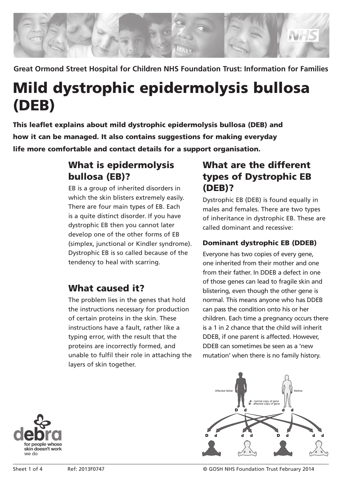

**Great Ormond Street Hospital for Children NHS Foundation Trust: Information for Families**

# Mild dystrophic epidermolysis bullosa (DEB)

This leaflet explains about mild dystrophic epidermolysis bullosa (DEB) and how it can be managed. It also contains suggestions for making everyday life more comfortable and contact details for a support organisation.

# What is epidermolysis bullosa (EB)?

EB is a group of inherited disorders in which the skin blisters extremely easily. There are four main types of EB. Each is a quite distinct disorder. If you have dystrophic EB then you cannot later develop one of the other forms of EB (simplex, junctional or Kindler syndrome). Dystrophic EB is so called because of the tendency to heal with scarring.

# What caused it?

The problem lies in the genes that hold the instructions necessary for production of certain proteins in the skin. These instructions have a fault, rather like a typing error, with the result that the proteins are incorrectly formed, and unable to fulfil their role in attaching the layers of skin together.

# What are the different types of Dystrophic EB (DEB)?

Dystrophic EB (DEB) is found equally in males and females. There are two types of inheritance in dystrophic EB. These are called dominant and recessive:

### Dominant dystrophic EB (DDEB)

Everyone has two copies of every gene, one inherited from their mother and one from their father. In DDEB a defect in one of those genes can lead to fragile skin and blistering, even though the other gene is normal. This means anyone who has DDEB can pass the condition onto his or her children. Each time a pregnancy occurs there is a 1 in 2 chance that the child will inherit DDEB, if one parent is affected. However, DDEB can sometimes be seen as a 'new mutation' when there is no family history.





Sheet 1 of 4 Ref: 2013F0747 © GOSH NHS Foundation Trust February 2014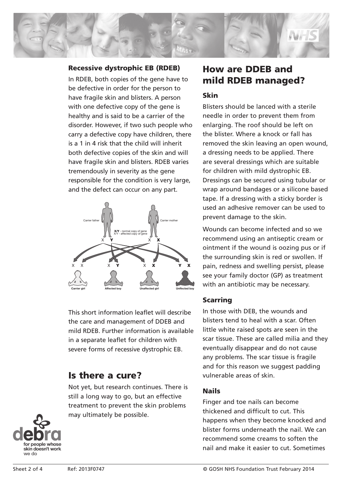

#### Recessive dystrophic EB (RDEB)

In RDEB, both copies of the gene have to be defective in order for the person to have fragile skin and blisters. A person with one defective copy of the gene is healthy and is said to be a carrier of the disorder. However, if two such people who carry a defective copy have children, there is a 1 in 4 risk that the child will inherit both defective copies of the skin and will have fragile skin and blisters. RDEB varies tremendously in severity as the gene responsible for the condition is very large, and the defect can occur on any part.



This short information leaflet will describe the care and management of DDEB and mild RDEB. Further information is available in a separate leaflet for children with severe forms of recessive dystrophic EB.

## Is there a cure?

Not yet, but research continues. There is still a long way to go, but an effective treatment to prevent the skin problems may ultimately be possible.

# How are DDEB and mild RDEB managed?

#### Skin

Blisters should be lanced with a sterile needle in order to prevent them from enlarging. The roof should be left on the blister. Where a knock or fall has removed the skin leaving an open wound, a dressing needs to be applied. There are several dressings which are suitable for children with mild dystrophic EB. Dressings can be secured using tubular or wrap around bandages or a silicone based tape. If a dressing with a sticky border is used an adhesive remover can be used to prevent damage to the skin.

Wounds can become infected and so we recommend using an antiseptic cream or ointment if the wound is oozing pus or if the surrounding skin is red or swollen. If pain, redness and swelling persist, please see your family doctor (GP) as treatment with an antibiotic may be necessary.

#### Scarring

In those with DEB, the wounds and blisters tend to heal with a scar. Often little white raised spots are seen in the scar tissue. These are called milia and they eventually disappear and do not cause any problems. The scar tissue is fragile and for this reason we suggest padding vulnerable areas of skin.

#### Nails

Finger and toe nails can become thickened and difficult to cut. This happens when they become knocked and blister forms underneath the nail. We can recommend some creams to soften the nail and make it easier to cut. Sometimes

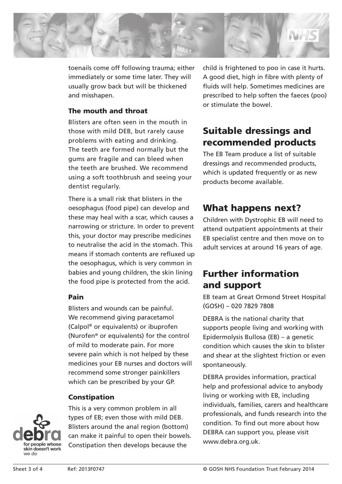

toenails come off following trauma; either immediately or some time later. They will usually grow back but will be thickened and misshapen.

#### The mouth and throat

Blisters are often seen in the mouth in those with mild DEB, but rarely cause problems with eating and drinking. The teeth are formed normally but the gums are fragile and can bleed when the teeth are brushed. We recommend using a soft toothbrush and seeing your dentist regularly.

There is a small risk that blisters in the oesophagus (food pipe) can develop and these may heal with a scar, which causes a narrowing or stricture. In order to prevent this, your doctor may prescribe medicines to neutralise the acid in the stomach. This means if stomach contents are refluxed up the oesophagus, which is very common in babies and young children, the skin lining the food pipe is protected from the acid.

#### Pain

Blisters and wounds can be painful. We recommend giving paracetamol (Calpol® or equivalents) or ibuprofen (Nurofen® or equivalents) for the control of mild to moderate pain. For more severe pain which is not helped by these medicines your EB nurses and doctors will recommend some stronger painkillers which can be prescribed by your GP.

#### Constipation

This is a very common problem in all types of EB; even those with mild DEB. Blisters around the anal region (bottom) can make it painful to open their bowels. Constipation then develops because the

child is frightened to poo in case it hurts. A good diet, high in fibre with plenty of fluids will help. Sometimes medicines are prescribed to help soften the faeces (poo) or stimulate the bowel.

# Suitable dressings and recommended products

The EB Team produce a list of suitable dressings and recommended products, which is updated frequently or as new products become available.

# What happens next?

Children with Dystrophic EB will need to attend outpatient appointments at their EB specialist centre and then move on to adult services at around 16 years of age.

# Further information and support

EB team at Great Ormond Street Hospital (GOSH) – 020 7829 7808

DEBRA is the national charity that supports people living and working with Epidermolysis Bullosa (EB) – a genetic condition which causes the skin to blister and shear at the slightest friction or even spontaneously.

DEBRA provides information, practical help and professional advice to anybody living or working with EB, including individuals, families, carers and healthcare professionals, and funds research into the condition. To find out more about how DEBRA can support you, please visit www.debra.org.uk.